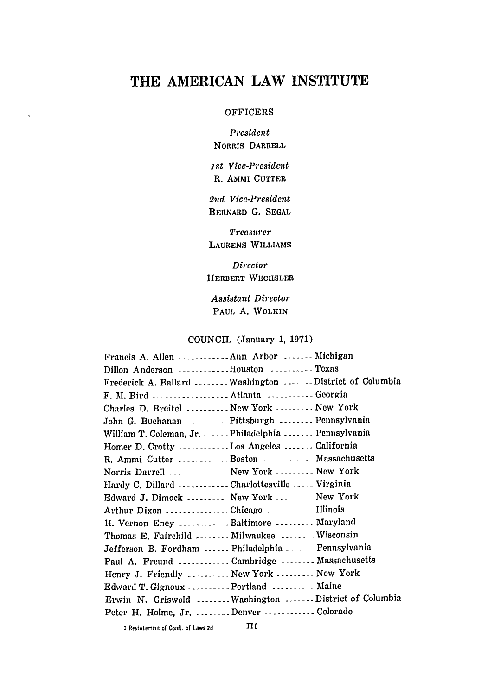# THE **AMERICAN** LAW INSTITUTE

#### **OFFICERS**

*President* NORRIS **DARRELL**

*1st Vice-President* R. AMMI **CUTTER**

*21nd Vice-President* BERNARD **G. SEGAL**

*Treasurer* LAURENS WILLIAMS

*Director* HERBERT WECIISLER

*Assistant Director* **PAUL A.** WOLKIN

COUNCIL (January 1, 1971)

| Francis A. Allen  Ann Arbor  Michigan               |                                                        |
|-----------------------------------------------------|--------------------------------------------------------|
| Dillon Anderson Houston Texas                       |                                                        |
|                                                     | Frederick A. Ballard  Washington  District of Columbia |
|                                                     |                                                        |
| Charles D. Breitel  New York  New York              |                                                        |
| John G. Buchanan Pittsburgh  Pennsylvania           |                                                        |
| William T. Coleman, Jr.  Philadelphia  Pennsylvania |                                                        |
| Homer D. Crotty Los Angeles  California             |                                                        |
| R. Ammi Cutter Boston  Massachusetts                |                                                        |
| Norris Darrell  New York  New York                  |                                                        |
| Hardy C. Dillard  Charlottesville  Virginia         |                                                        |
| Edward J. Dimock  New York  New York                |                                                        |
|                                                     |                                                        |
| H. Vernon Eney Baltimore  Maryland                  |                                                        |
| Thomas E. Fairchild  Milwaukee  Wisconsin           |                                                        |
| Jefferson B. Fordham  Philadelphia  Pennsylvania    |                                                        |
| Paul A. Freund  Cambridge  Massachusetts            |                                                        |
| Henry J. Friendly  New York  New York               |                                                        |
| Edward T. Gignoux  Portland  Maine                  |                                                        |
|                                                     | Erwin N. Griswold Washington District of Columbia      |
| Peter H. Holme, Jr. Denver Colorado                 |                                                        |
|                                                     |                                                        |

1 Restatement of Confl. of Laws **2d 111**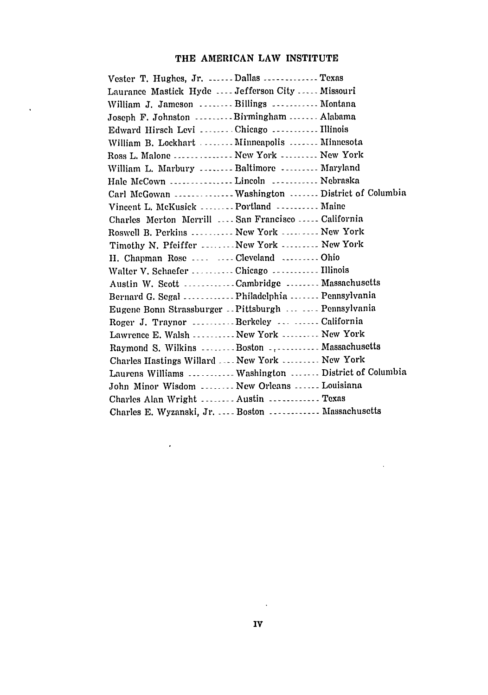## **THE AMERICAN LAW INSTITUTE**

 $\Delta \sim 1$ 

| Vester T. Hughes, Jr.  Dallas  Texas                  |  |
|-------------------------------------------------------|--|
| Laurance Mastick Hyde  Jefferson City  Missouri       |  |
| William J. Jameson Billings  Montana                  |  |
| Joseph F. Johnston Birmingham  Alabama                |  |
| Edward Hirsch Levi Chicago  Illinois                  |  |
| William B. Lockhart  Minneapolis  Minnesota           |  |
| Ross L. Malone  New York  New York                    |  |
| William L. Marbury  Baltimore  Maryland               |  |
| Hale McCown  Lincoln  Nebraska                        |  |
|                                                       |  |
| Vincent L. McKusick  Portland  Maine                  |  |
| Charles Merton Merrill  San Francisco  California     |  |
| Roswell B. Perkins  New York  New York                |  |
| Timothy N. Pfeiffer  New York  New York               |  |
| H. Chapman Rose   Cleveland  Ohio                     |  |
| Walter V. Schaefer  Chicago  Illinois                 |  |
| Austin W. Scott Cambridge  Massachusetts              |  |
| Bernard G. Segal  Philadelphia  Pennsylvania          |  |
| Eugene Bonn Strassburger -- Pittsburgh   Pennsylvania |  |
| Roger J. Traynor  Berkeley   California               |  |
| Lawrence E. Walsh  New York  New York                 |  |
| Raymond S. Wilkins Boston  Massachusetts              |  |
| Charles Hastings Willard  New York  New York          |  |
| Laurens Williams  Washington  District of Columbia    |  |
| John Minor Wisdom  New Orleans  Louisiana             |  |
| Charles Alan Wright  Austin  Texas                    |  |
| Charles E. Wyzanski, Jr.  Boston  Massachusetts       |  |

 $\sim 10^{-1}$ 

 $\sim 10^{-1}$ 

 $\sim$   $\epsilon$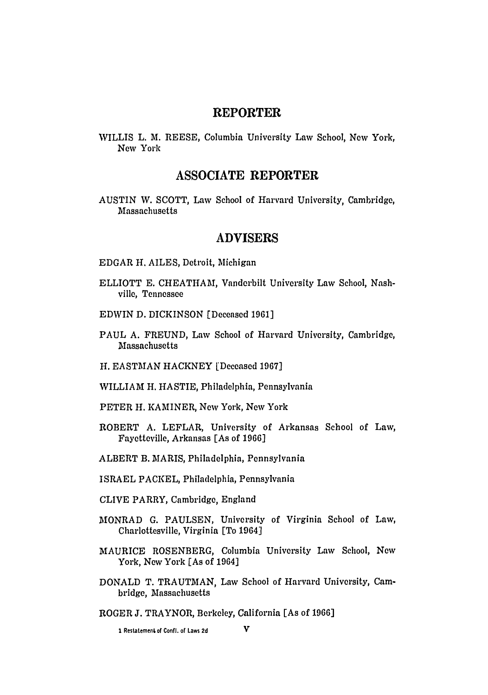## REPORTER

WILLIS L. M. REESE, Columbia University Law School, Now York, New York

## **ASSOCIATE** REPORTER

AUSTIN W. SCOTT, Law School of Harvard University, Cambridge, Massachusetts

#### ADVISERS

- EDGAR H. AILES, Detroit, Michigan
- ELLIOTT E. CHEATHAM, Vanderbilt University Law School, Nashville, Tennessee
- EDWIN D. DICKINSON [Deceased 1961]
- PAUL A. FREUND, Law School of Harvard University, Cambridge, Massachusetts
- H. EASTMAN HACKNEY [Deceased 1967]
- WILLIAM H. HASTIE, Philadelphia, Pennsylvania
- PETER H. KAMINER, New York, New York
- ROBERT A. LEFLAR, University of Arkansas School of Law, Fayetteville, Arkansas [As of 1966]
- ALBERT B. MARIS, Philadelphia, Pennsylvania
- ISRAEL PACKEL, Philadelphia, Pennsylvania
- CLIVE PARRY, Cambridge, England
- MONRAD G. PAULSEN, University of Virginia School of Law, Charlottesville, Virginia [To 1964]
- MAURICE ROSENBERG, Columbia University Law School, New York, **New** York [As of 1964]
- **DONALD** T. **TRAUTMAN,** Law School of Harvard University, Cambridge, Massachusetts
- ROGER **J.** TRAYNOR, Berkeley, California [As of **1966]**

1 Restatement of Confl. of Laws **2d V**